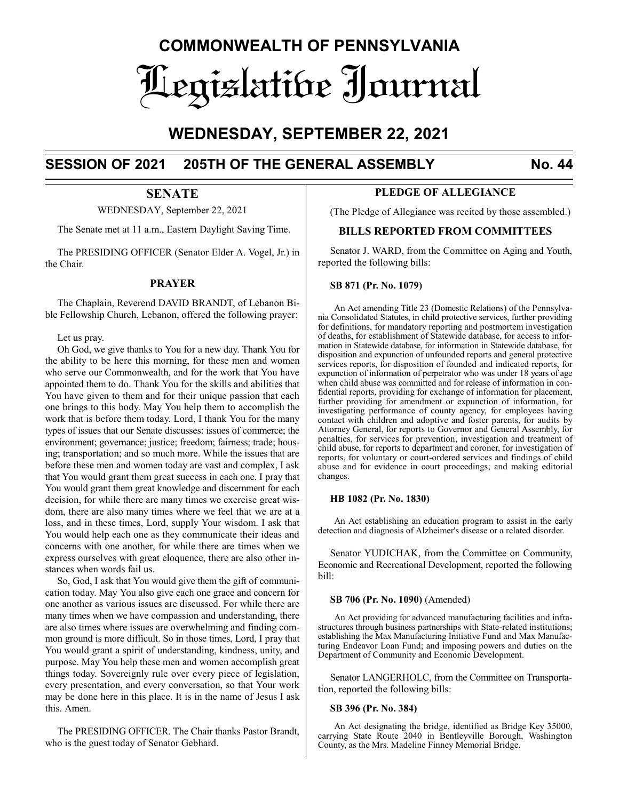# **COMMONWEALTH OF PENNSYLVANIA** Legislative Journal

## **WEDNESDAY, SEPTEMBER 22, 2021**

## **SESSION OF 2021 205TH OF THE GENERAL ASSEMBLY No. 44**

## **SENATE**

WEDNESDAY, September 22, 2021

The Senate met at 11 a.m., Eastern Daylight Saving Time.

The PRESIDING OFFICER (Senator Elder A. Vogel, Jr.) in the Chair.

## **PRAYER**

The Chaplain, Reverend DAVID BRANDT, of Lebanon Bible Fellowship Church, Lebanon, offered the following prayer:

Let us pray.

Oh God, we give thanks to You for a new day. Thank You for the ability to be here this morning, for these men and women who serve our Commonwealth, and for the work that You have appointed them to do. Thank You for the skills and abilities that You have given to them and for their unique passion that each one brings to this body. May You help them to accomplish the work that is before them today. Lord, I thank You for the many types of issues that our Senate discusses: issues of commerce; the environment; governance; justice; freedom; fairness; trade; housing; transportation; and so much more. While the issues that are before these men and women today are vast and complex, I ask that You would grant them great success in each one. I pray that You would grant them great knowledge and discernment for each decision, for while there are many times we exercise great wisdom, there are also many times where we feel that we are at a loss, and in these times, Lord, supply Your wisdom. I ask that You would help each one as they communicate their ideas and concerns with one another, for while there are times when we express ourselves with great eloquence, there are also other instances when words fail us.

So, God, I ask that You would give them the gift of communication today. May You also give each one grace and concern for one another as various issues are discussed. For while there are many times when we have compassion and understanding, there are also times where issues are overwhelming and finding common ground is more difficult. So in those times, Lord, I pray that You would grant a spirit of understanding, kindness, unity, and purpose. May You help these men and women accomplish great things today. Sovereignly rule over every piece of legislation, every presentation, and every conversation, so that Your work may be done here in this place. It is in the name of Jesus I ask this. Amen.

The PRESIDING OFFICER. The Chair thanks Pastor Brandt, who is the guest today of Senator Gebhard.

## **PLEDGE OF ALLEGIANCE**

(The Pledge of Allegiance was recited by those assembled.)

## **BILLS REPORTED FROM COMMITTEES**

Senator J. WARD, from the Committee on Aging and Youth, reported the following bills:

#### **SB 871 (Pr. No. 1079)**

An Act amending Title 23 (Domestic Relations) of the Pennsylvania Consolidated Statutes, in child protective services, further providing for definitions, for mandatory reporting and postmortem investigation of deaths, for establishment of Statewide database, for access to information in Statewide database, for information in Statewide database, for disposition and expunction of unfounded reports and general protective services reports, for disposition of founded and indicated reports, for expunction of information of perpetrator who was under 18 years of age when child abuse was committed and for release of information in confidential reports, providing for exchange of information for placement, further providing for amendment or expunction of information, for investigating performance of county agency, for employees having contact with children and adoptive and foster parents, for audits by Attorney General, for reports to Governor and General Assembly, for penalties, for services for prevention, investigation and treatment of child abuse, for reports to department and coroner, for investigation of reports, for voluntary or court-ordered services and findings of child abuse and for evidence in court proceedings; and making editorial changes.

#### **HB 1082 (Pr. No. 1830)**

An Act establishing an education program to assist in the early detection and diagnosis of Alzheimer's disease or a related disorder.

Senator YUDICHAK, from the Committee on Community, Economic and Recreational Development, reported the following bill:

#### **SB 706 (Pr. No. 1090)** (Amended)

An Act providing for advanced manufacturing facilities and infrastructures through business partnerships with State-related institutions; establishing the Max Manufacturing Initiative Fund and Max Manufacturing Endeavor Loan Fund; and imposing powers and duties on the Department of Community and Economic Development.

Senator LANGERHOLC, from the Committee on Transportation, reported the following bills:

#### **SB 396 (Pr. No. 384)**

An Act designating the bridge, identified as Bridge Key 35000, carrying State Route 2040 in Bentleyville Borough, Washington County, as the Mrs. Madeline Finney Memorial Bridge.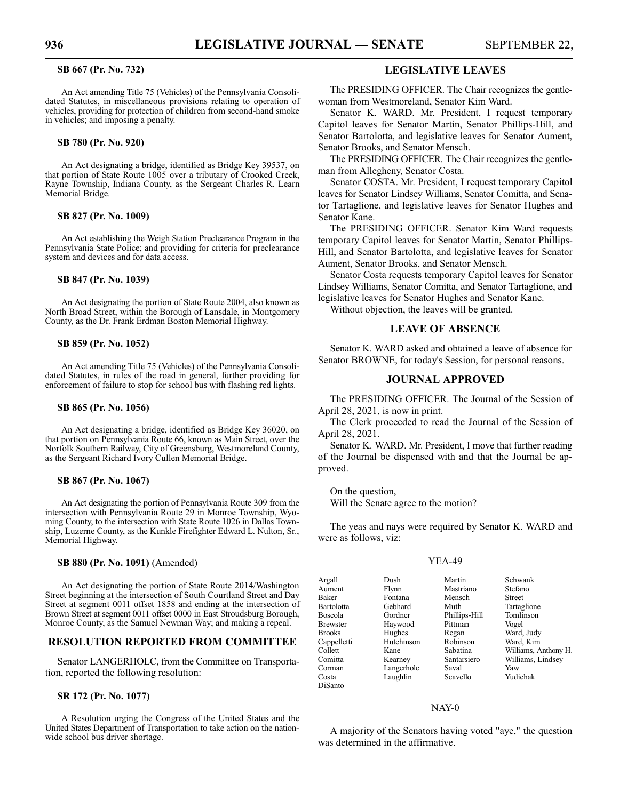#### **SB 667 (Pr. No. 732)**

An Act amending Title 75 (Vehicles) of the Pennsylvania Consolidated Statutes, in miscellaneous provisions relating to operation of vehicles, providing for protection of children from second-hand smoke in vehicles; and imposing a penalty.

#### **SB 780 (Pr. No. 920)**

An Act designating a bridge, identified as Bridge Key 39537, on that portion of State Route 1005 over a tributary of Crooked Creek, Rayne Township, Indiana County, as the Sergeant Charles R. Learn Memorial Bridge.

#### **SB 827 (Pr. No. 1009)**

An Act establishing the Weigh Station Preclearance Program in the Pennsylvania State Police; and providing for criteria for preclearance system and devices and for data access.

#### **SB 847 (Pr. No. 1039)**

An Act designating the portion of State Route 2004, also known as North Broad Street, within the Borough of Lansdale, in Montgomery County, as the Dr. Frank Erdman Boston Memorial Highway.

#### **SB 859 (Pr. No. 1052)**

An Act amending Title 75 (Vehicles) of the Pennsylvania Consolidated Statutes, in rules of the road in general, further providing for enforcement of failure to stop for school bus with flashing red lights.

#### **SB 865 (Pr. No. 1056)**

An Act designating a bridge, identified as Bridge Key 36020, on that portion on Pennsylvania Route 66, known as Main Street, over the Norfolk Southern Railway, City of Greensburg, Westmoreland County, as the Sergeant Richard Ivory Cullen Memorial Bridge.

#### **SB 867 (Pr. No. 1067)**

An Act designating the portion of Pennsylvania Route 309 from the intersection with Pennsylvania Route 29 in Monroe Township, Wyoming County, to the intersection with State Route 1026 in Dallas Township, Luzerne County, as the Kunkle Firefighter Edward L. Nulton, Sr., Memorial Highway.

#### **SB 880 (Pr. No. 1091)** (Amended)

An Act designating the portion of State Route 2014/Washington Street beginning at the intersection of South Courtland Street and Day Street at segment 0011 offset 1858 and ending at the intersection of Brown Street at segment 0011 offset 0000 in East Stroudsburg Borough, Monroe County, as the Samuel Newman Way; and making a repeal.

### **RESOLUTION REPORTED FROM COMMITTEE**

Senator LANGERHOLC, from the Committee on Transportation, reported the following resolution:

#### **SR 172 (Pr. No. 1077)**

A Resolution urging the Congress of the United States and the United States Department of Transportation to take action on the nationwide school bus driver shortage.

## **LEGISLATIVE LEAVES**

The PRESIDING OFFICER. The Chair recognizes the gentlewoman from Westmoreland, Senator Kim Ward.

Senator K. WARD. Mr. President, I request temporary Capitol leaves for Senator Martin, Senator Phillips-Hill, and Senator Bartolotta, and legislative leaves for Senator Aument, Senator Brooks, and Senator Mensch.

The PRESIDING OFFICER. The Chair recognizes the gentleman from Allegheny, Senator Costa.

Senator COSTA. Mr. President, I request temporary Capitol leaves for Senator Lindsey Williams, Senator Comitta, and Senator Tartaglione, and legislative leaves for Senator Hughes and Senator Kane.

The PRESIDING OFFICER. Senator Kim Ward requests temporary Capitol leaves for Senator Martin, Senator Phillips-Hill, and Senator Bartolotta, and legislative leaves for Senator Aument, Senator Brooks, and Senator Mensch.

Senator Costa requests temporary Capitol leaves for Senator Lindsey Williams, Senator Comitta, and Senator Tartaglione, and legislative leaves for Senator Hughes and Senator Kane.

Without objection, the leaves will be granted.

## **LEAVE OF ABSENCE**

Senator K. WARD asked and obtained a leave of absence for Senator BROWNE, for today's Session, for personal reasons.

### **JOURNAL APPROVED**

The PRESIDING OFFICER. The Journal of the Session of April 28, 2021, is now in print.

The Clerk proceeded to read the Journal of the Session of April 28, 2021.

Senator K. WARD. Mr. President, I move that further reading of the Journal be dispensed with and that the Journal be approved.

On the question,

Will the Senate agree to the motion?

The yeas and nays were required by Senator K. WARD and were as follows, viz:

#### YEA-49

| Argall            | Dush       | Martin        | Schwank              |
|-------------------|------------|---------------|----------------------|
| Aument            | Flynn      | Mastriano     | Stefano              |
| Baker             | Fontana    | Mensch        | <b>Street</b>        |
| <b>Bartolotta</b> | Gebhard    | Muth          | Tartaglione          |
| Boscola           | Gordner    | Phillips-Hill | Tomlinson            |
| <b>Brewster</b>   | Haywood    | Pittman       | Vogel                |
| <b>Brooks</b>     | Hughes     | Regan         | Ward, Judy           |
| Cappelletti       | Hutchinson | Robinson      | Ward, Kim            |
| Collett           | Kane       | Sabatina      | Williams, Anthony H. |
| Comitta           | Kearney    | Santarsiero   | Williams, Lindsey    |
| Corman            | Langerholc | Saval         | Yaw                  |
| Costa             | Laughlin   | Scavello      | Yudichak             |
| DiSanto           |            |               |                      |

#### NAY-0

A majority of the Senators having voted "aye," the question was determined in the affirmative.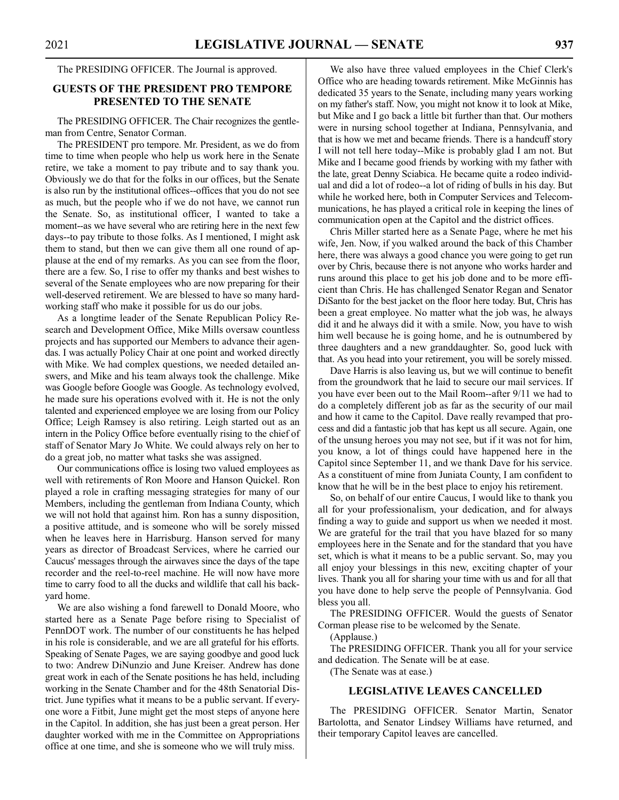#### The PRESIDING OFFICER. The Journal is approved.

## **GUESTS OF THE PRESIDENT PRO TEMPORE PRESENTED TO THE SENATE**

The PRESIDING OFFICER. The Chair recognizes the gentleman from Centre, Senator Corman.

The PRESIDENT pro tempore. Mr. President, as we do from time to time when people who help us work here in the Senate retire, we take a moment to pay tribute and to say thank you. Obviously we do that for the folks in our offices, but the Senate is also run by the institutional offices--offices that you do not see as much, but the people who if we do not have, we cannot run the Senate. So, as institutional officer, I wanted to take a moment--as we have several who are retiring here in the next few days--to pay tribute to those folks. As I mentioned, I might ask them to stand, but then we can give them all one round of applause at the end of my remarks. As you can see from the floor, there are a few. So, I rise to offer my thanks and best wishes to several of the Senate employees who are now preparing for their well-deserved retirement. We are blessed to have so many hardworking staff who make it possible for us do our jobs.

As a longtime leader of the Senate Republican Policy Research and Development Office, Mike Mills oversaw countless projects and has supported our Members to advance their agendas. I was actually Policy Chair at one point and worked directly with Mike. We had complex questions, we needed detailed answers, and Mike and his team always took the challenge. Mike was Google before Google was Google. As technology evolved, he made sure his operations evolved with it. He is not the only talented and experienced employee we are losing from our Policy Office; Leigh Ramsey is also retiring. Leigh started out as an intern in the Policy Office before eventually rising to the chief of staff of Senator Mary Jo White. We could always rely on her to do a great job, no matter what tasks she was assigned.

Our communications office is losing two valued employees as well with retirements of Ron Moore and Hanson Quickel. Ron played a role in crafting messaging strategies for many of our Members, including the gentleman from Indiana County, which we will not hold that against him. Ron has a sunny disposition, a positive attitude, and is someone who will be sorely missed when he leaves here in Harrisburg. Hanson served for many years as director of Broadcast Services, where he carried our Caucus' messages through the airwaves since the days of the tape recorder and the reel-to-reel machine. He will now have more time to carry food to all the ducks and wildlife that call his backyard home.

We are also wishing a fond farewell to Donald Moore, who started here as a Senate Page before rising to Specialist of PennDOT work. The number of our constituents he has helped in his role is considerable, and we are all grateful for his efforts. Speaking of Senate Pages, we are saying goodbye and good luck to two: Andrew DiNunzio and June Kreiser. Andrew has done great work in each of the Senate positions he has held, including working in the Senate Chamber and for the 48th Senatorial District. June typifies what it means to be a public servant. If everyone wore a Fitbit, June might get the most steps of anyone here in the Capitol. In addition, she has just been a great person. Her daughter worked with me in the Committee on Appropriations office at one time, and she is someone who we will truly miss.

We also have three valued employees in the Chief Clerk's Office who are heading towards retirement. Mike McGinnis has dedicated 35 years to the Senate, including many years working on my father's staff. Now, you might not know it to look at Mike, but Mike and I go back a little bit further than that. Our mothers were in nursing school together at Indiana, Pennsylvania, and that is how we met and became friends. There is a handcuff story I will not tell here today--Mike is probably glad I am not. But Mike and I became good friends by working with my father with the late, great Denny Sciabica. He became quite a rodeo individual and did a lot of rodeo--a lot of riding of bulls in his day. But while he worked here, both in Computer Services and Telecommunications, he has played a critical role in keeping the lines of communication open at the Capitol and the district offices.

Chris Miller started here as a Senate Page, where he met his wife, Jen. Now, if you walked around the back of this Chamber here, there was always a good chance you were going to get run over by Chris, because there is not anyone who works harder and runs around this place to get his job done and to be more efficient than Chris. He has challenged Senator Regan and Senator DiSanto for the best jacket on the floor here today. But, Chris has been a great employee. No matter what the job was, he always did it and he always did it with a smile. Now, you have to wish him well because he is going home, and he is outnumbered by three daughters and a new granddaughter. So, good luck with that. As you head into your retirement, you will be sorely missed.

Dave Harris is also leaving us, but we will continue to benefit from the groundwork that he laid to secure our mail services. If you have ever been out to the Mail Room--after 9/11 we had to do a completely different job as far as the security of our mail and how it came to the Capitol. Dave really revamped that process and did a fantastic job that has kept us all secure. Again, one of the unsung heroes you may not see, but if it was not for him, you know, a lot of things could have happened here in the Capitol since September 11, and we thank Dave for his service. As a constituent of mine from Juniata County, I am confident to know that he will be in the best place to enjoy his retirement.

So, on behalf of our entire Caucus, I would like to thank you all for your professionalism, your dedication, and for always finding a way to guide and support us when we needed it most. We are grateful for the trail that you have blazed for so many employees here in the Senate and for the standard that you have set, which is what it means to be a public servant. So, may you all enjoy your blessings in this new, exciting chapter of your lives. Thank you all for sharing your time with us and for all that you have done to help serve the people of Pennsylvania. God bless you all.

The PRESIDING OFFICER. Would the guests of Senator Corman please rise to be welcomed by the Senate.

(Applause.)

The PRESIDING OFFICER. Thank you all for your service and dedication. The Senate will be at ease.

(The Senate was at ease.)

## **LEGISLATIVE LEAVES CANCELLED**

The PRESIDING OFFICER. Senator Martin, Senator Bartolotta, and Senator Lindsey Williams have returned, and their temporary Capitol leaves are cancelled.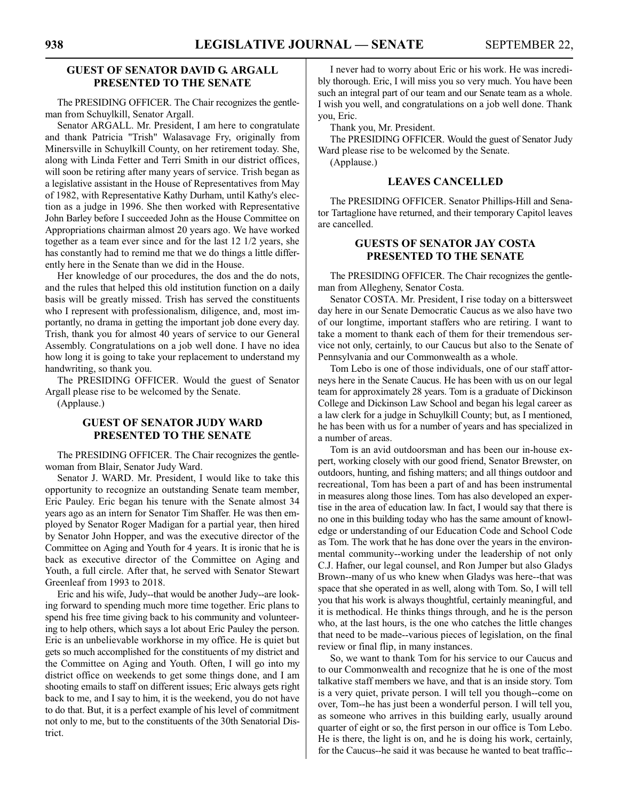## **GUEST OF SENATOR DAVID G. ARGALL PRESENTED TO THE SENATE**

The PRESIDING OFFICER. The Chair recognizes the gentleman from Schuylkill, Senator Argall.

Senator ARGALL. Mr. President, I am here to congratulate and thank Patricia "Trish" Walasavage Fry, originally from Minersville in Schuylkill County, on her retirement today. She, along with Linda Fetter and Terri Smith in our district offices, will soon be retiring after many years of service. Trish began as a legislative assistant in the House of Representatives from May of 1982, with Representative Kathy Durham, until Kathy's election as a judge in 1996. She then worked with Representative John Barley before I succeeded John as the House Committee on Appropriations chairman almost 20 years ago. We have worked together as a team ever since and for the last 12 1/2 years, she has constantly had to remind me that we do things a little differently here in the Senate than we did in the House.

Her knowledge of our procedures, the dos and the do nots, and the rules that helped this old institution function on a daily basis will be greatly missed. Trish has served the constituents who I represent with professionalism, diligence, and, most importantly, no drama in getting the important job done every day. Trish, thank you for almost 40 years of service to our General Assembly. Congratulations on a job well done. I have no idea how long it is going to take your replacement to understand my handwriting, so thank you.

The PRESIDING OFFICER. Would the guest of Senator Argall please rise to be welcomed by the Senate.

(Applause.)

## **GUEST OF SENATOR JUDY WARD PRESENTED TO THE SENATE**

The PRESIDING OFFICER. The Chair recognizes the gentlewoman from Blair, Senator Judy Ward.

Senator J. WARD. Mr. President, I would like to take this opportunity to recognize an outstanding Senate team member, Eric Pauley. Eric began his tenure with the Senate almost 34 years ago as an intern for Senator Tim Shaffer. He was then employed by Senator Roger Madigan for a partial year, then hired by Senator John Hopper, and was the executive director of the Committee on Aging and Youth for 4 years. It is ironic that he is back as executive director of the Committee on Aging and Youth, a full circle. After that, he served with Senator Stewart Greenleaf from 1993 to 2018.

Eric and his wife, Judy--that would be another Judy--are looking forward to spending much more time together. Eric plans to spend his free time giving back to his community and volunteering to help others, which says a lot about Eric Pauley the person. Eric is an unbelievable workhorse in my office. He is quiet but gets so much accomplished for the constituents of my district and the Committee on Aging and Youth. Often, I will go into my district office on weekends to get some things done, and I am shooting emails to staff on different issues; Eric always gets right back to me, and I say to him, it is the weekend, you do not have to do that. But, it is a perfect example of his level of commitment not only to me, but to the constituents of the 30th Senatorial District.

I never had to worry about Eric or his work. He was incredibly thorough. Eric, I will miss you so very much. You have been such an integral part of our team and our Senate team as a whole. I wish you well, and congratulations on a job well done. Thank you, Eric.

Thank you, Mr. President.

The PRESIDING OFFICER. Would the guest of Senator Judy Ward please rise to be welcomed by the Senate.

(Applause.)

## **LEAVES CANCELLED**

The PRESIDING OFFICER. Senator Phillips-Hill and Senator Tartaglione have returned, and their temporary Capitol leaves are cancelled.

## **GUESTS OF SENATOR JAY COSTA PRESENTED TO THE SENATE**

The PRESIDING OFFICER. The Chair recognizes the gentleman from Allegheny, Senator Costa.

Senator COSTA. Mr. President, I rise today on a bittersweet day here in our Senate Democratic Caucus as we also have two of our longtime, important staffers who are retiring. I want to take a moment to thank each of them for their tremendous service not only, certainly, to our Caucus but also to the Senate of Pennsylvania and our Commonwealth as a whole.

Tom Lebo is one of those individuals, one of our staff attorneys here in the Senate Caucus. He has been with us on our legal team for approximately 28 years. Tom is a graduate of Dickinson College and Dickinson Law School and began his legal career as a law clerk for a judge in Schuylkill County; but, as I mentioned, he has been with us for a number of years and has specialized in a number of areas.

Tom is an avid outdoorsman and has been our in-house expert, working closely with our good friend, Senator Brewster, on outdoors, hunting, and fishing matters; and all things outdoor and recreational, Tom has been a part of and has been instrumental in measures along those lines. Tom has also developed an expertise in the area of education law. In fact, I would say that there is no one in this building today who has the same amount of knowledge or understanding of our Education Code and School Code as Tom. The work that he has done over the years in the environmental community--working under the leadership of not only C.J. Hafner, our legal counsel, and Ron Jumper but also Gladys Brown--many of us who knew when Gladys was here--that was space that she operated in as well, along with Tom. So, I will tell you that his work is always thoughtful, certainly meaningful, and it is methodical. He thinks things through, and he is the person who, at the last hours, is the one who catches the little changes that need to be made--various pieces of legislation, on the final review or final flip, in many instances.

So, we want to thank Tom for his service to our Caucus and to our Commonwealth and recognize that he is one of the most talkative staff members we have, and that is an inside story. Tom is a very quiet, private person. I will tell you though--come on over, Tom--he has just been a wonderful person. I will tell you, as someone who arrives in this building early, usually around quarter of eight or so, the first person in our office is Tom Lebo. He is there, the light is on, and he is doing his work, certainly, for the Caucus--he said it was because he wanted to beat traffic--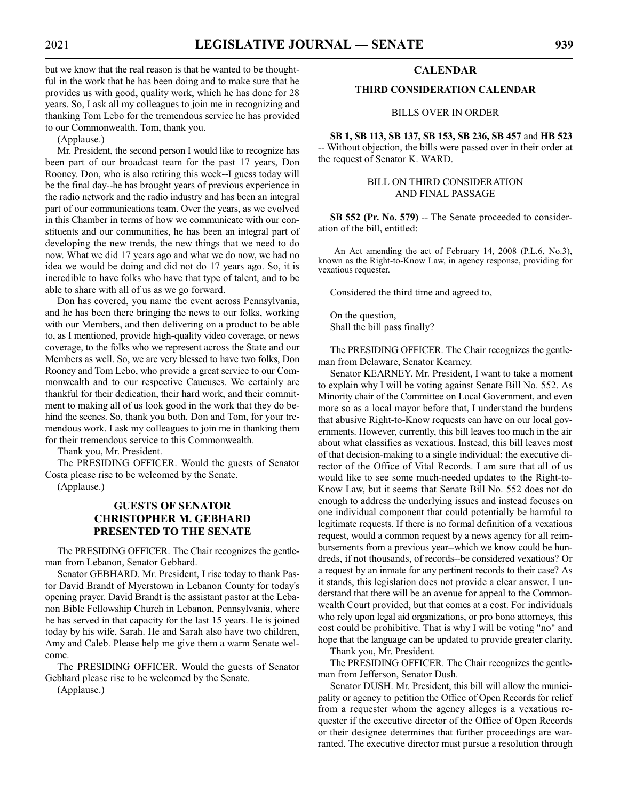but we know that the real reason is that he wanted to be thoughtful in the work that he has been doing and to make sure that he provides us with good, quality work, which he has done for 28 years. So, I ask all my colleagues to join me in recognizing and thanking Tom Lebo for the tremendous service he has provided to our Commonwealth. Tom, thank you.

(Applause.)

Mr. President, the second person I would like to recognize has been part of our broadcast team for the past 17 years, Don Rooney. Don, who is also retiring this week--I guess today will be the final day--he has brought years of previous experience in the radio network and the radio industry and has been an integral part of our communications team. Over the years, as we evolved in this Chamber in terms of how we communicate with our constituents and our communities, he has been an integral part of developing the new trends, the new things that we need to do now. What we did 17 years ago and what we do now, we had no idea we would be doing and did not do 17 years ago. So, it is incredible to have folks who have that type of talent, and to be able to share with all of us as we go forward.

Don has covered, you name the event across Pennsylvania, and he has been there bringing the news to our folks, working with our Members, and then delivering on a product to be able to, as I mentioned, provide high-quality video coverage, or news coverage, to the folks who we represent across the State and our Members as well. So, we are very blessed to have two folks, Don Rooney and Tom Lebo, who provide a great service to our Commonwealth and to our respective Caucuses. We certainly are thankful for their dedication, their hard work, and their commitment to making all of us look good in the work that they do behind the scenes. So, thank you both, Don and Tom, for your tremendous work. I ask my colleagues to join me in thanking them for their tremendous service to this Commonwealth.

Thank you, Mr. President.

The PRESIDING OFFICER. Would the guests of Senator Costa please rise to be welcomed by the Senate.

(Applause.)

## **GUESTS OF SENATOR CHRISTOPHER M. GEBHARD PRESENTED TO THE SENATE**

The PRESIDING OFFICER. The Chair recognizes the gentleman from Lebanon, Senator Gebhard.

Senator GEBHARD. Mr. President, I rise today to thank Pastor David Brandt of Myerstown in Lebanon County for today's opening prayer. David Brandt is the assistant pastor at the Lebanon Bible Fellowship Church in Lebanon, Pennsylvania, where he has served in that capacity for the last 15 years. He is joined today by his wife, Sarah. He and Sarah also have two children, Amy and Caleb. Please help me give them a warm Senate welcome.

The PRESIDING OFFICER. Would the guests of Senator Gebhard please rise to be welcomed by the Senate.

(Applause.)

## **CALENDAR**

#### **THIRD CONSIDERATION CALENDAR**

BILLS OVER IN ORDER

**SB 1, SB 113, SB 137, SB 153, SB 236, SB 457** and **HB 523** -- Without objection, the bills were passed over in their order at the request of Senator K. WARD.

## BILL ON THIRD CONSIDERATION AND FINAL PASSAGE

**SB 552 (Pr. No. 579)** -- The Senate proceeded to consideration of the bill, entitled:

An Act amending the act of February 14, 2008 (P.L.6, No.3), known as the Right-to-Know Law, in agency response, providing for vexatious requester.

Considered the third time and agreed to,

On the question, Shall the bill pass finally?

The PRESIDING OFFICER. The Chair recognizes the gentleman from Delaware, Senator Kearney.

Senator KEARNEY. Mr. President, I want to take a moment to explain why I will be voting against Senate Bill No. 552. As Minority chair of the Committee on Local Government, and even more so as a local mayor before that, I understand the burdens that abusive Right-to-Know requests can have on our local governments. However, currently, this bill leaves too much in the air about what classifies as vexatious. Instead, this bill leaves most of that decision-making to a single individual: the executive director of the Office of Vital Records. I am sure that all of us would like to see some much-needed updates to the Right-to-Know Law, but it seems that Senate Bill No. 552 does not do enough to address the underlying issues and instead focuses on one individual component that could potentially be harmful to legitimate requests. If there is no formal definition of a vexatious request, would a common request by a news agency for all reimbursements from a previous year--which we know could be hundreds, if not thousands, of records--be considered vexatious? Or a request by an inmate for any pertinent records to their case? As it stands, this legislation does not provide a clear answer. I understand that there will be an avenue for appeal to the Commonwealth Court provided, but that comes at a cost. For individuals who rely upon legal aid organizations, or pro bono attorneys, this cost could be prohibitive. That is why I will be voting "no" and hope that the language can be updated to provide greater clarity.

Thank you, Mr. President.

The PRESIDING OFFICER. The Chair recognizes the gentleman from Jefferson, Senator Dush.

Senator DUSH. Mr. President, this bill will allow the municipality or agency to petition the Office of Open Records for relief from a requester whom the agency alleges is a vexatious requester if the executive director of the Office of Open Records or their designee determines that further proceedings are warranted. The executive director must pursue a resolution through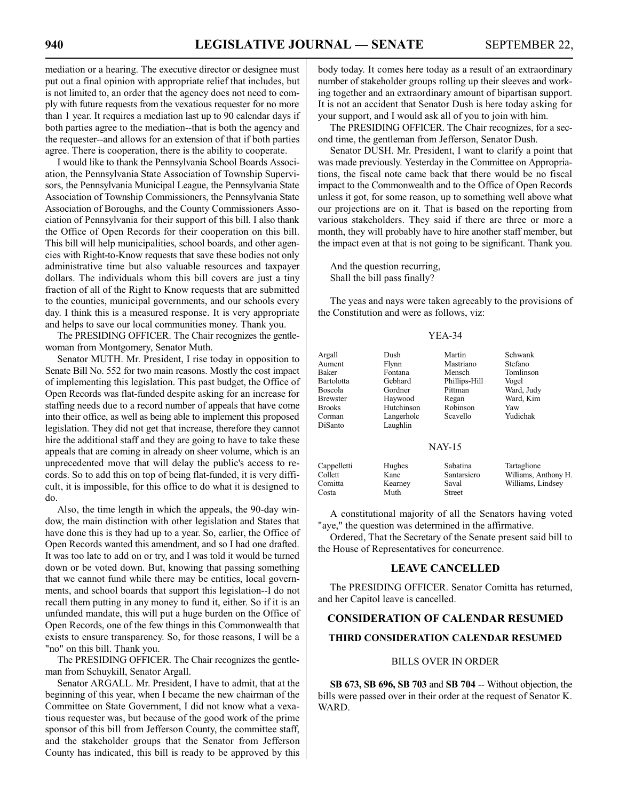mediation or a hearing. The executive director or designee must put out a final opinion with appropriate relief that includes, but is not limited to, an order that the agency does not need to comply with future requests from the vexatious requester for no more than 1 year. It requires a mediation last up to 90 calendar days if both parties agree to the mediation--that is both the agency and the requester--and allows for an extension of that if both parties agree. There is cooperation, there is the ability to cooperate.

I would like to thank the Pennsylvania School Boards Association, the Pennsylvania State Association of Township Supervisors, the Pennsylvania Municipal League, the Pennsylvania State Association of Township Commissioners, the Pennsylvania State Association of Boroughs, and the County Commissioners Association of Pennsylvania for their support of this bill. I also thank the Office of Open Records for their cooperation on this bill. This bill will help municipalities, school boards, and other agencies with Right-to-Know requests that save these bodies not only administrative time but also valuable resources and taxpayer dollars. The individuals whom this bill covers are just a tiny fraction of all of the Right to Know requests that are submitted to the counties, municipal governments, and our schools every day. I think this is a measured response. It is very appropriate and helps to save our local communities money. Thank you.

The PRESIDING OFFICER. The Chair recognizes the gentlewoman from Montgomery, Senator Muth.

Senator MUTH. Mr. President, I rise today in opposition to Senate Bill No. 552 for two main reasons. Mostly the cost impact of implementing this legislation. This past budget, the Office of Open Records was flat-funded despite asking for an increase for staffing needs due to a record number of appeals that have come into their office, as well as being able to implement this proposed legislation. They did not get that increase, therefore they cannot hire the additional staff and they are going to have to take these appeals that are coming in already on sheer volume, which is an unprecedented move that will delay the public's access to records. So to add this on top of being flat-funded, it is very difficult, it is impossible, for this office to do what it is designed to do.

Also, the time length in which the appeals, the 90-day window, the main distinction with other legislation and States that have done this is they had up to a year. So, earlier, the Office of Open Records wanted this amendment, and so I had one drafted. It was too late to add on or try, and I was told it would be turned down or be voted down. But, knowing that passing something that we cannot fund while there may be entities, local governments, and school boards that support this legislation--I do not recall them putting in any money to fund it, either. So if it is an unfunded mandate, this will put a huge burden on the Office of Open Records, one of the few things in this Commonwealth that exists to ensure transparency. So, for those reasons, I will be a "no" on this bill. Thank you.

The PRESIDING OFFICER. The Chair recognizes the gentleman from Schuykill, Senator Argall.

Senator ARGALL. Mr. President, I have to admit, that at the beginning of this year, when I became the new chairman of the Committee on State Government, I did not know what a vexatious requester was, but because of the good work of the prime sponsor of this bill from Jefferson County, the committee staff, and the stakeholder groups that the Senator from Jefferson County has indicated, this bill is ready to be approved by this body today. It comes here today as a result of an extraordinary number of stakeholder groups rolling up their sleeves and working together and an extraordinary amount of bipartisan support. It is not an accident that Senator Dush is here today asking for your support, and I would ask all of you to join with him.

The PRESIDING OFFICER. The Chair recognizes, for a second time, the gentleman from Jefferson, Senator Dush.

Senator DUSH. Mr. President, I want to clarify a point that was made previously. Yesterday in the Committee on Appropriations, the fiscal note came back that there would be no fiscal impact to the Commonwealth and to the Office of Open Records unless it got, for some reason, up to something well above what our projections are on it. That is based on the reporting from various stakeholders. They said if there are three or more a month, they will probably have to hire another staff member, but the impact even at that is not going to be significant. Thank you.

And the question recurring, Shall the bill pass finally?

Costa Muth Street

The yeas and nays were taken agreeably to the provisions of the Constitution and were as follows, viz:

#### YEA-34

| Argall            | Dush       | Martin        | Schwank              |
|-------------------|------------|---------------|----------------------|
| Aument            | Flynn      | Mastriano     | Stefano              |
| Baker             | Fontana    | Mensch        | Tomlinson            |
| <b>Bartolotta</b> | Gebhard    | Phillips-Hill | Vogel                |
| <b>Boscola</b>    | Gordner    | Pittman       | Ward, Judy           |
| <b>Brewster</b>   | Haywood    | Regan         | Ward, Kim            |
| <b>Brooks</b>     | Hutchinson | Robinson      | Yaw                  |
| Corman            | Langerholc | Scavello      | Yudichak             |
| DiSanto           | Laughlin   |               |                      |
|                   |            |               |                      |
|                   |            | <b>NAY-15</b> |                      |
| Cappelletti       | Hughes     | Sabatina      | Tartaglione          |
| Collett           | Kane       | Santarsiero   | Williams. Anthony H. |

A constitutional majority of all the Senators having voted "aye," the question was determined in the affirmative.

Comitta Kearney Saval Williams, Lindsey

Ordered, That the Secretary of the Senate present said bill to the House of Representatives for concurrence.

#### **LEAVE CANCELLED**

The PRESIDING OFFICER. Senator Comitta has returned, and her Capitol leave is cancelled.

#### **CONSIDERATION OF CALENDAR RESUMED**

## **THIRD CONSIDERATION CALENDAR RESUMED**

#### BILLS OVER IN ORDER

**SB 673, SB 696, SB 703** and **SB 704** -- Without objection, the bills were passed over in their order at the request of Senator K. WARD.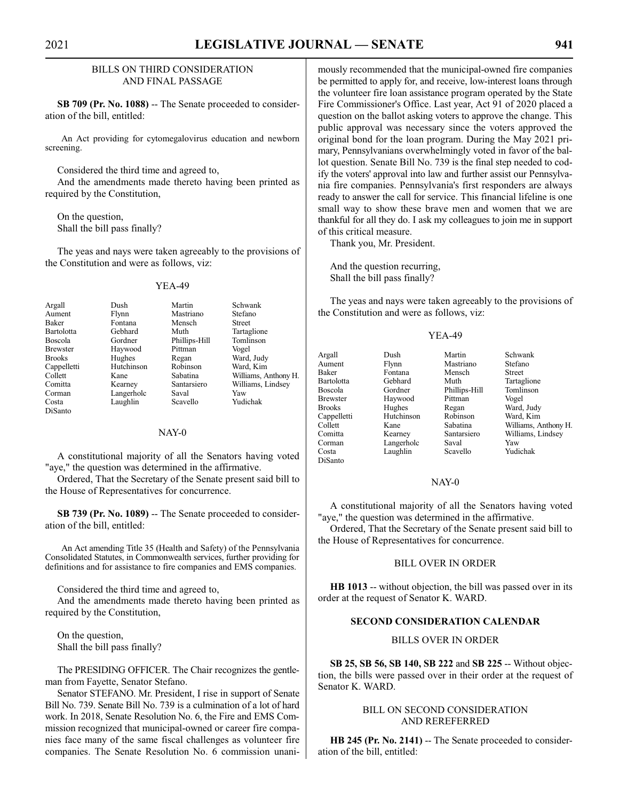#### BILLS ON THIRD CONSIDERATION AND FINAL PASSAGE

**SB 709 (Pr. No. 1088)** -- The Senate proceeded to consideration of the bill, entitled:

An Act providing for cytomegalovirus education and newborn screening.

Considered the third time and agreed to,

And the amendments made thereto having been printed as required by the Constitution,

On the question, Shall the bill pass finally?

The yeas and nays were taken agreeably to the provisions of the Constitution and were as follows, viz:

#### YEA-49

| Argall          | Dush       | Martin        | Schwank              |
|-----------------|------------|---------------|----------------------|
| Aument          | Flynn      | Mastriano     | Stefano              |
| Baker           | Fontana    | Mensch        | <b>Street</b>        |
| Bartolotta      | Gebhard    | Muth          | Tartaglione          |
| <b>Boscola</b>  | Gordner    | Phillips-Hill | Tomlinson            |
| <b>Brewster</b> | Haywood    | Pittman       | Vogel                |
| <b>Brooks</b>   | Hughes     | Regan         | Ward, Judy           |
| Cappelletti     | Hutchinson | Robinson      | Ward, Kim            |
| Collett         | Kane       | Sabatina      | Williams, Anthony H. |
| Comitta         | Kearney    | Santarsiero   | Williams, Lindsey    |
| Corman          | Langerholc | Saval         | Yaw                  |
| Costa           | Laughlin   | Scavello      | Yudichak             |
| DiSanto         |            |               |                      |

## NAY-0

A constitutional majority of all the Senators having voted "aye," the question was determined in the affirmative.

Ordered, That the Secretary of the Senate present said bill to the House of Representatives for concurrence.

**SB 739 (Pr. No. 1089)** -- The Senate proceeded to consideration of the bill, entitled:

An Act amending Title 35 (Health and Safety) of the Pennsylvania Consolidated Statutes, in Commonwealth services, further providing for definitions and for assistance to fire companies and EMS companies.

Considered the third time and agreed to,

And the amendments made thereto having been printed as required by the Constitution,

On the question, Shall the bill pass finally?

The PRESIDING OFFICER. The Chair recognizes the gentleman from Fayette, Senator Stefano.

Senator STEFANO. Mr. President, I rise in support of Senate Bill No. 739. Senate Bill No. 739 is a culmination of a lot of hard work. In 2018, Senate Resolution No. 6, the Fire and EMS Commission recognized that municipal-owned or career fire companies face many of the same fiscal challenges as volunteer fire companies. The Senate Resolution No. 6 commission unanimously recommended that the municipal-owned fire companies be permitted to apply for, and receive, low-interest loans through the volunteer fire loan assistance program operated by the State Fire Commissioner's Office. Last year, Act 91 of 2020 placed a question on the ballot asking voters to approve the change. This public approval was necessary since the voters approved the original bond for the loan program. During the May 2021 primary, Pennsylvanians overwhelmingly voted in favor of the ballot question. Senate Bill No. 739 is the final step needed to codify the voters' approval into law and further assist our Pennsylvania fire companies. Pennsylvania's first responders are always ready to answer the call for service. This financial lifeline is one small way to show these brave men and women that we are thankful for all they do. I ask my colleagues to join me in support of this critical measure.

Thank you, Mr. President.

And the question recurring, Shall the bill pass finally?

The yeas and nays were taken agreeably to the provisions of the Constitution and were as follows, viz:

#### YEA-49

| Argall          | Dush       | Martin        | Schwank              |
|-----------------|------------|---------------|----------------------|
| Aument          | Flynn      | Mastriano     | Stefano              |
| Baker           | Fontana    | Mensch        | Street               |
| Bartolotta      | Gebhard    | Muth          | Tartaglione          |
| <b>Boscola</b>  | Gordner    | Phillips-Hill | Tomlinson            |
| <b>Brewster</b> | Haywood    | Pittman       | Vogel                |
| <b>Brooks</b>   | Hughes     | Regan         | Ward, Judy           |
| Cappelletti     | Hutchinson | Robinson      | Ward, Kim            |
| Collett         | Kane       | Sabatina      | Williams, Anthony H. |
| Comitta         | Kearney    | Santarsiero   | Williams, Lindsey    |
| Corman          | Langerholc | Saval         | Yaw                  |
| Costa           | Laughlin   | Scavello      | Yudichak             |

DiSanto

#### NAY-0

A constitutional majority of all the Senators having voted "aye," the question was determined in the affirmative.

Ordered, That the Secretary of the Senate present said bill to the House of Representatives for concurrence.

#### BILL OVER IN ORDER

**HB 1013** -- without objection, the bill was passed over in its order at the request of Senator K. WARD.

## **SECOND CONSIDERATION CALENDAR**

## BILLS OVER IN ORDER

**SB 25, SB 56, SB 140, SB 222** and **SB 225** -- Without objection, the bills were passed over in their order at the request of Senator K. WARD.

#### BILL ON SECOND CONSIDERATION AND REREFERRED

**HB 245 (Pr. No. 2141)** -- The Senate proceeded to consideration of the bill, entitled: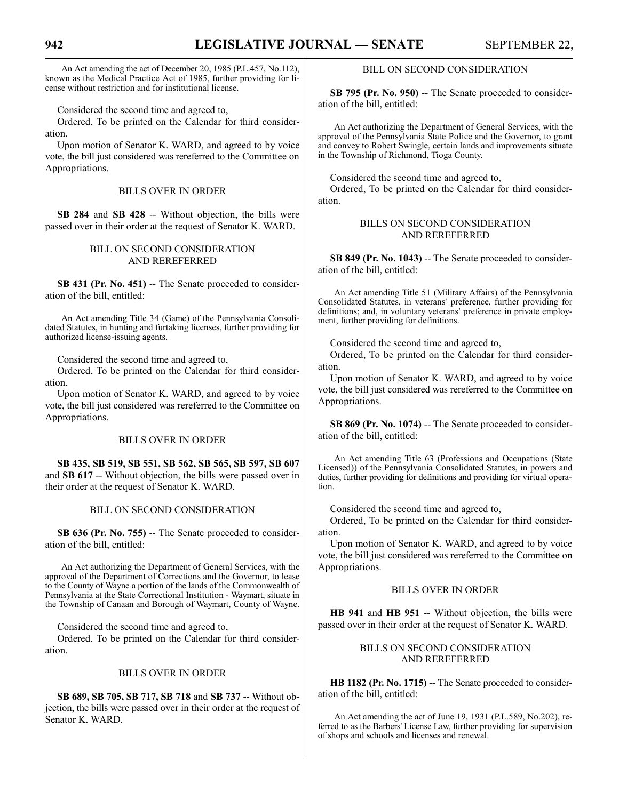An Act amending the act of December 20, 1985 (P.L.457, No.112), known as the Medical Practice Act of 1985, further providing for license without restriction and for institutional license.

Considered the second time and agreed to,

Ordered, To be printed on the Calendar for third consideration.

Upon motion of Senator K. WARD, and agreed to by voice vote, the bill just considered was rereferred to the Committee on Appropriations.

### BILLS OVER IN ORDER

**SB 284** and **SB 428** -- Without objection, the bills were passed over in their order at the request of Senator K. WARD.

## BILL ON SECOND CONSIDERATION AND REREFERRED

**SB 431 (Pr. No. 451)** -- The Senate proceeded to consideration of the bill, entitled:

An Act amending Title 34 (Game) of the Pennsylvania Consolidated Statutes, in hunting and furtaking licenses, further providing for authorized license-issuing agents.

Considered the second time and agreed to,

Ordered, To be printed on the Calendar for third consideration.

Upon motion of Senator K. WARD, and agreed to by voice vote, the bill just considered was rereferred to the Committee on Appropriations.

### BILLS OVER IN ORDER

**SB 435, SB 519, SB 551, SB 562, SB 565, SB 597, SB 607** and **SB 617** -- Without objection, the bills were passed over in their order at the request of Senator K. WARD.

### BILL ON SECOND CONSIDERATION

**SB 636 (Pr. No. 755)** -- The Senate proceeded to consideration of the bill, entitled:

An Act authorizing the Department of General Services, with the approval of the Department of Corrections and the Governor, to lease to the County of Wayne a portion of the lands of the Commonwealth of Pennsylvania at the State Correctional Institution - Waymart, situate in the Township of Canaan and Borough of Waymart, County of Wayne.

Considered the second time and agreed to,

Ordered, To be printed on the Calendar for third consideration.

#### BILLS OVER IN ORDER

**SB 689, SB 705, SB 717, SB 718** and **SB 737** -- Without objection, the bills were passed over in their order at the request of Senator K. WARD.

### BILL ON SECOND CONSIDERATION

**SB 795 (Pr. No. 950)** -- The Senate proceeded to consideration of the bill, entitled:

An Act authorizing the Department of General Services, with the approval of the Pennsylvania State Police and the Governor, to grant and convey to Robert Swingle, certain lands and improvements situate in the Township of Richmond, Tioga County.

Considered the second time and agreed to,

Ordered, To be printed on the Calendar for third consideration.

#### BILLS ON SECOND CONSIDERATION AND REREFERRED

**SB 849 (Pr. No. 1043)** -- The Senate proceeded to consideration of the bill, entitled:

An Act amending Title 51 (Military Affairs) of the Pennsylvania Consolidated Statutes, in veterans' preference, further providing for definitions; and, in voluntary veterans' preference in private employment, further providing for definitions.

Considered the second time and agreed to,

Ordered, To be printed on the Calendar for third consideration.

Upon motion of Senator K. WARD, and agreed to by voice vote, the bill just considered was rereferred to the Committee on Appropriations.

**SB 869 (Pr. No. 1074)** -- The Senate proceeded to consideration of the bill, entitled:

An Act amending Title 63 (Professions and Occupations (State Licensed)) of the Pennsylvania Consolidated Statutes, in powers and duties, further providing for definitions and providing for virtual operation.

Considered the second time and agreed to,

Ordered, To be printed on the Calendar for third consideration.

Upon motion of Senator K. WARD, and agreed to by voice vote, the bill just considered was rereferred to the Committee on Appropriations.

#### BILLS OVER IN ORDER

**HB 941** and **HB 951** -- Without objection, the bills were passed over in their order at the request of Senator K. WARD.

#### BILLS ON SECOND CONSIDERATION AND REREFERRED

**HB 1182 (Pr. No. 1715)** -- The Senate proceeded to consideration of the bill, entitled:

An Act amending the act of June 19, 1931 (P.L.589, No.202), referred to as the Barbers' License Law, further providing for supervision of shops and schools and licenses and renewal.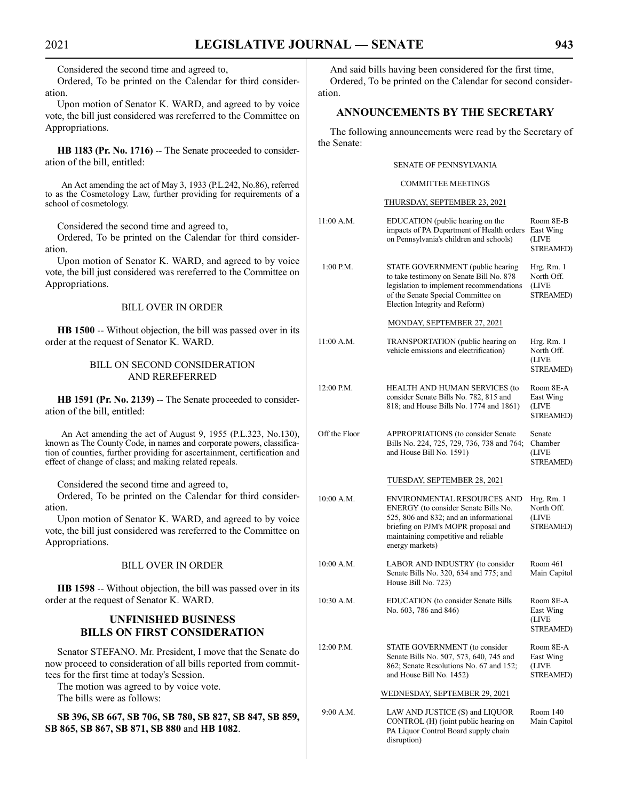Considered the second time and agreed to,

Ordered, To be printed on the Calendar for third consideration.

Upon motion of Senator K. WARD, and agreed to by voice vote, the bill just considered was rereferred to the Committee on Appropriations.

**HB 1183 (Pr. No. 1716)** -- The Senate proceeded to consideration of the bill, entitled:

An Act amending the act of May 3, 1933 (P.L.242, No.86), referred to as the Cosmetology Law, further providing for requirements of a school of cosmetology.

Considered the second time and agreed to,

Ordered, To be printed on the Calendar for third consideration.

Upon motion of Senator K. WARD, and agreed to by voice vote, the bill just considered was rereferred to the Committee on Appropriations.

#### BILL OVER IN ORDER

**HB 1500** -- Without objection, the bill was passed over in its order at the request of Senator K. WARD.

## BILL ON SECOND CONSIDERATION AND REREFERRED

HB 1591 (Pr. No. 2139) -- The Senate proceeded to consideration of the bill, entitled:

An Act amending the act of August 9, 1955 (P.L.323, No.130), known as The County Code, in names and corporate powers, classification of counties, further providing for ascertainment, certification and effect of change of class; and making related repeals.

Considered the second time and agreed to,

Ordered, To be printed on the Calendar for third consideration.

Upon motion of Senator K. WARD, and agreed to by voice vote, the bill just considered was rereferred to the Committee on Appropriations.

## BILL OVER IN ORDER

**HB 1598** -- Without objection, the bill was passed over in its order at the request of Senator K. WARD.

## **UNFINISHED BUSINESS BILLS ON FIRST CONSIDERATION**

Senator STEFANO. Mr. President, I move that the Senate do now proceed to consideration of all bills reported from committees for the first time at today's Session.

The motion was agreed to by voice vote. The bills were as follows:

**SB 396, SB 667, SB 706, SB 780, SB 827, SB 847, SB 859, SB 865, SB 867, SB 871, SB 880** and **HB 1082**.

And said bills having been considered for the first time, Ordered, To be printed on the Calendar for second consideration.

### **ANNOUNCEMENTS BY THE SECRETARY**

The following announcements were read by the Secretary of the Senate:

#### SENATE OF PENNSYLVANIA

#### COMMITTEE MEETINGS

#### THURSDAY, SEPTEMBER 23, 2021

| 11:00 A.M.    | EDUCATION (public hearing on the<br>impacts of PA Department of Health orders<br>on Pennsylvania's children and schools)                                                                                        | Room 8E-B<br>East Wing<br>(LIVE<br><b>STREAMED)</b>   |
|---------------|-----------------------------------------------------------------------------------------------------------------------------------------------------------------------------------------------------------------|-------------------------------------------------------|
| 1:00 P.M.     | STATE GOVERNMENT (public hearing<br>to take testimony on Senate Bill No. 878<br>legislation to implement recommendations<br>of the Senate Special Committee on<br>Election Integrity and Reform)                | Hrg. Rm. 1<br>North Off.<br>(LIVE<br>STREAMED)        |
|               | MONDAY, SEPTEMBER 27, 2021                                                                                                                                                                                      |                                                       |
| 11:00 A.M.    | TRANSPORTATION (public hearing on<br>vehicle emissions and electrification)                                                                                                                                     | Hrg. Rm. 1<br>North Off.<br>(LIVE<br>STREAMED)        |
| 12:00 P.M.    | HEALTH AND HUMAN SERVICES (to<br>consider Senate Bills No. 782, 815 and<br>818; and House Bills No. 1774 and 1861)                                                                                              | Room 8E-A<br>East Wing<br>(LIVE<br>STREAMED)          |
| Off the Floor | APPROPRIATIONS (to consider Senate<br>Bills No. 224, 725, 729, 736, 738 and 764;<br>and House Bill No. 1591)                                                                                                    | Senate<br>Chamber<br>(LIVE<br><b>STREAMED)</b>        |
|               | TUESDAY, SEPTEMBER 28, 2021                                                                                                                                                                                     |                                                       |
| 10:00 A.M.    | ENVIRONMENTAL RESOURCES AND<br>ENERGY (to consider Senate Bills No.<br>525, 806 and 832; and an informational<br>briefing on PJM's MOPR proposal and<br>maintaining competitive and reliable<br>energy markets) | Hrg. Rm. 1<br>North Off.<br>(LIVE<br><b>STREAMED)</b> |
| 10:00 A.M.    | LABOR AND INDUSTRY (to consider<br>Senate Bills No. 320, 634 and 775; and<br>House Bill No. 723)                                                                                                                | Room 461<br>Main Capitol                              |
| 10:30 A.M.    | EDUCATION (to consider Senate Bills<br>No. 603, 786 and 846)                                                                                                                                                    | Room 8E-A<br>East Wing<br>(LIVE<br>STREAMED)          |
| 12:00 P.M.    | STATE GOVERNMENT (to consider<br>Senate Bills No. 507, 573, 640, 745 and<br>862; Senate Resolutions No. 67 and 152;<br>and House Bill No. 1452)                                                                 | Room 8E-A<br>East Wing<br>(LIVE<br><b>STREAMED)</b>   |
|               | WEDNESDAY, SEPTEMBER 29, 2021                                                                                                                                                                                   |                                                       |
| 9:00 A.M.     | LAW AND JUSTICE (S) and LIQUOR<br>CONTROL (H) (joint public hearing on<br>PA Liquor Control Board supply chain                                                                                                  | Room 140<br>Main Capitol                              |

disruption)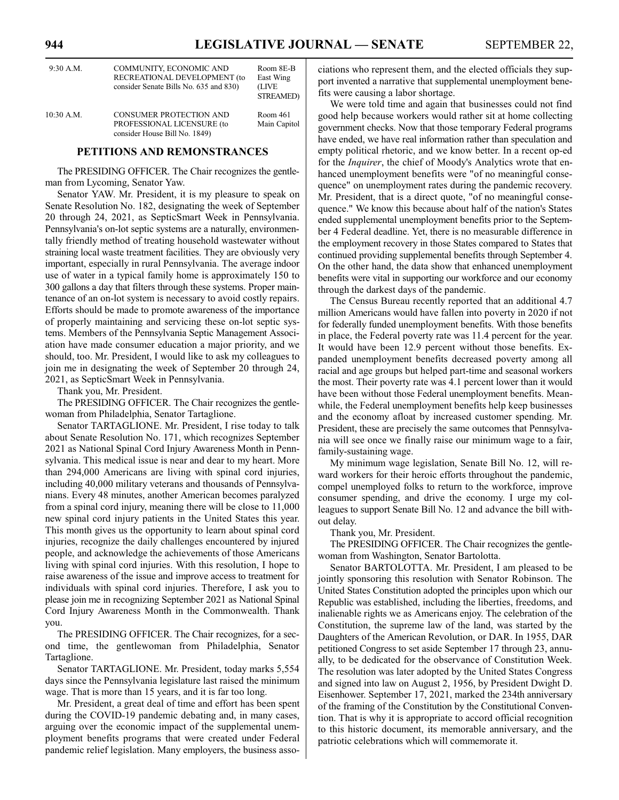| $9:30$ A.M.  | COMMUNITY, ECONOMIC AND<br>RECREATIONAL DEVELOPMENT (to<br>consider Senate Bills No. 635 and 830) | Room 8E-B<br>East Wing<br>(LIVE<br><b>STREAMED)</b> |
|--------------|---------------------------------------------------------------------------------------------------|-----------------------------------------------------|
| $10:30$ A.M. | <b>CONSUMER PROTECTION AND</b><br>PROFESSIONAL LICENSURE (to<br>consider House Bill No. 1849)     | Room 461<br>Main Capitol                            |

#### **PETITIONS AND REMONSTRANCES**

The PRESIDING OFFICER. The Chair recognizes the gentleman from Lycoming, Senator Yaw.

Senator YAW. Mr. President, it is my pleasure to speak on Senate Resolution No. 182, designating the week of September 20 through 24, 2021, as SepticSmart Week in Pennsylvania. Pennsylvania's on-lot septic systems are a naturally, environmentally friendly method of treating household wastewater without straining local waste treatment facilities. They are obviously very important, especially in rural Pennsylvania. The average indoor use of water in a typical family home is approximately 150 to 300 gallons a day that filters through these systems. Proper maintenance of an on-lot system is necessary to avoid costly repairs. Efforts should be made to promote awareness of the importance of properly maintaining and servicing these on-lot septic systems. Members of the Pennsylvania Septic Management Association have made consumer education a major priority, and we should, too. Mr. President, I would like to ask my colleagues to join me in designating the week of September 20 through 24, 2021, as SepticSmart Week in Pennsylvania.

Thank you, Mr. President.

The PRESIDING OFFICER. The Chair recognizes the gentlewoman from Philadelphia, Senator Tartaglione.

Senator TARTAGLIONE. Mr. President, I rise today to talk about Senate Resolution No. 171, which recognizes September 2021 as National Spinal Cord Injury Awareness Month in Pennsylvania. This medical issue is near and dear to my heart. More than 294,000 Americans are living with spinal cord injuries, including 40,000 military veterans and thousands of Pennsylvanians. Every 48 minutes, another American becomes paralyzed from a spinal cord injury, meaning there will be close to 11,000 new spinal cord injury patients in the United States this year. This month gives us the opportunity to learn about spinal cord injuries, recognize the daily challenges encountered by injured people, and acknowledge the achievements of those Americans living with spinal cord injuries. With this resolution, I hope to raise awareness of the issue and improve access to treatment for individuals with spinal cord injuries. Therefore, I ask you to please join me in recognizing September 2021 as National Spinal Cord Injury Awareness Month in the Commonwealth. Thank you.

The PRESIDING OFFICER. The Chair recognizes, for a second time, the gentlewoman from Philadelphia, Senator Tartaglione.

Senator TARTAGLIONE. Mr. President, today marks 5,554 days since the Pennsylvania legislature last raised the minimum wage. That is more than 15 years, and it is far too long.

Mr. President, a great deal of time and effort has been spent during the COVID-19 pandemic debating and, in many cases, arguing over the economic impact of the supplemental unemployment benefits programs that were created under Federal pandemic relief legislation. Many employers, the business associations who represent them, and the elected officials they support invented a narrative that supplemental unemployment benefits were causing a labor shortage.

We were told time and again that businesses could not find good help because workers would rather sit at home collecting government checks. Now that those temporary Federal programs have ended, we have real information rather than speculation and empty political rhetoric, and we know better. In a recent op-ed for the *Inquirer*, the chief of Moody's Analytics wrote that enhanced unemployment benefits were "of no meaningful consequence" on unemployment rates during the pandemic recovery. Mr. President, that is a direct quote, "of no meaningful consequence." We know this because about half of the nation's States ended supplemental unemployment benefits prior to the September 4 Federal deadline. Yet, there is no measurable difference in the employment recovery in those States compared to States that continued providing supplemental benefits through September 4. On the other hand, the data show that enhanced unemployment benefits were vital in supporting our workforce and our economy through the darkest days of the pandemic.

The Census Bureau recently reported that an additional 4.7 million Americans would have fallen into poverty in 2020 if not for federally funded unemployment benefits. With those benefits in place, the Federal poverty rate was 11.4 percent for the year. It would have been 12.9 percent without those benefits. Expanded unemployment benefits decreased poverty among all racial and age groups but helped part-time and seasonal workers the most. Their poverty rate was 4.1 percent lower than it would have been without those Federal unemployment benefits. Meanwhile, the Federal unemployment benefits help keep businesses and the economy afloat by increased customer spending. Mr. President, these are precisely the same outcomes that Pennsylvania will see once we finally raise our minimum wage to a fair, family-sustaining wage.

My minimum wage legislation, Senate Bill No. 12, will reward workers for their heroic efforts throughout the pandemic, compel unemployed folks to return to the workforce, improve consumer spending, and drive the economy. I urge my colleagues to support Senate Bill No. 12 and advance the bill without delay.

Thank you, Mr. President.

The PRESIDING OFFICER. The Chair recognizes the gentlewoman from Washington, Senator Bartolotta.

Senator BARTOLOTTA. Mr. President, I am pleased to be jointly sponsoring this resolution with Senator Robinson. The United States Constitution adopted the principles upon which our Republic was established, including the liberties, freedoms, and inalienable rights we as Americans enjoy. The celebration of the Constitution, the supreme law of the land, was started by the Daughters of the American Revolution, or DAR. In 1955, DAR petitioned Congress to set aside September 17 through 23, annually, to be dedicated for the observance of Constitution Week. The resolution was later adopted by the United States Congress and signed into law on August 2, 1956, by President Dwight D. Eisenhower. September 17, 2021, marked the 234th anniversary of the framing of the Constitution by the Constitutional Convention. That is why it is appropriate to accord official recognition to this historic document, its memorable anniversary, and the patriotic celebrations which will commemorate it.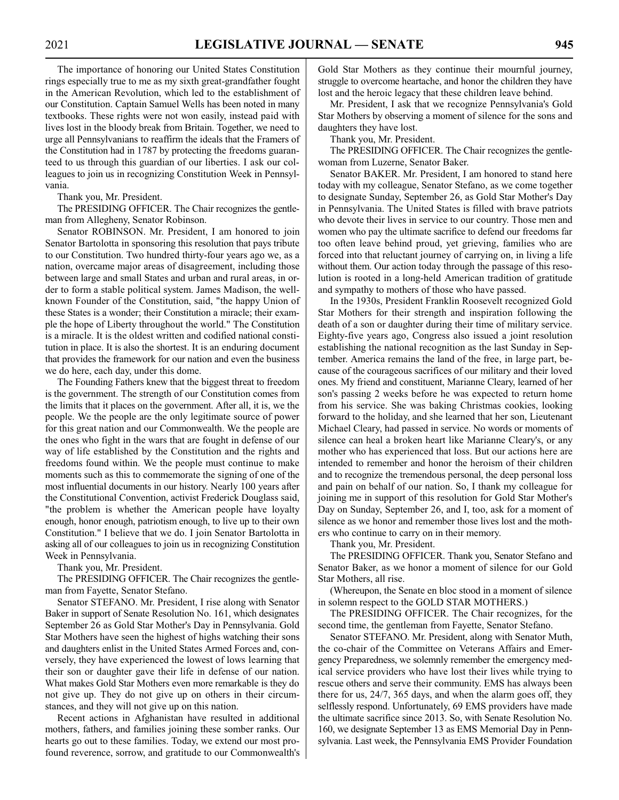The importance of honoring our United States Constitution rings especially true to me as my sixth great-grandfather fought in the American Revolution, which led to the establishment of our Constitution. Captain Samuel Wells has been noted in many textbooks. These rights were not won easily, instead paid with lives lost in the bloody break from Britain. Together, we need to urge all Pennsylvanians to reaffirm the ideals that the Framers of the Constitution had in 1787 by protecting the freedoms guaranteed to us through this guardian of our liberties. I ask our colleagues to join us in recognizing Constitution Week in Pennsylvania.

Thank you, Mr. President.

The PRESIDING OFFICER. The Chair recognizes the gentleman from Allegheny, Senator Robinson.

Senator ROBINSON. Mr. President, I am honored to join Senator Bartolotta in sponsoring this resolution that pays tribute to our Constitution. Two hundred thirty-four years ago we, as a nation, overcame major areas of disagreement, including those between large and small States and urban and rural areas, in order to form a stable political system. James Madison, the wellknown Founder of the Constitution, said, "the happy Union of these States is a wonder; their Constitution a miracle; their example the hope of Liberty throughout the world." The Constitution is a miracle. It is the oldest written and codified national constitution in place. It is also the shortest. It is an enduring document that provides the framework for our nation and even the business we do here, each day, under this dome.

The Founding Fathers knew that the biggest threat to freedom is the government. The strength of our Constitution comes from the limits that it places on the government. After all, it is, we the people. We the people are the only legitimate source of power for this great nation and our Commonwealth. We the people are the ones who fight in the wars that are fought in defense of our way of life established by the Constitution and the rights and freedoms found within. We the people must continue to make moments such as this to commemorate the signing of one of the most influential documents in our history. Nearly 100 years after the Constitutional Convention, activist Frederick Douglass said, "the problem is whether the American people have loyalty enough, honor enough, patriotism enough, to live up to their own Constitution." I believe that we do. I join Senator Bartolotta in asking all of our colleagues to join us in recognizing Constitution Week in Pennsylvania.

Thank you, Mr. President.

The PRESIDING OFFICER. The Chair recognizes the gentleman from Fayette, Senator Stefano.

Senator STEFANO. Mr. President, I rise along with Senator Baker in support of Senate Resolution No. 161, which designates September 26 as Gold Star Mother's Day in Pennsylvania. Gold Star Mothers have seen the highest of highs watching their sons and daughters enlist in the United States Armed Forces and, conversely, they have experienced the lowest of lows learning that their son or daughter gave their life in defense of our nation. What makes Gold Star Mothers even more remarkable is they do not give up. They do not give up on others in their circumstances, and they will not give up on this nation.

Recent actions in Afghanistan have resulted in additional mothers, fathers, and families joining these somber ranks. Our hearts go out to these families. Today, we extend our most profound reverence, sorrow, and gratitude to our Commonwealth's Gold Star Mothers as they continue their mournful journey, struggle to overcome heartache, and honor the children they have lost and the heroic legacy that these children leave behind.

Mr. President, I ask that we recognize Pennsylvania's Gold Star Mothers by observing a moment of silence for the sons and daughters they have lost.

Thank you, Mr. President.

The PRESIDING OFFICER. The Chair recognizes the gentlewoman from Luzerne, Senator Baker.

Senator BAKER. Mr. President, I am honored to stand here today with my colleague, Senator Stefano, as we come together to designate Sunday, September 26, as Gold Star Mother's Day in Pennsylvania. The United States is filled with brave patriots who devote their lives in service to our country. Those men and women who pay the ultimate sacrifice to defend our freedoms far too often leave behind proud, yet grieving, families who are forced into that reluctant journey of carrying on, in living a life without them. Our action today through the passage of this resolution is rooted in a long-held American tradition of gratitude and sympathy to mothers of those who have passed.

In the 1930s, President Franklin Roosevelt recognized Gold Star Mothers for their strength and inspiration following the death of a son or daughter during their time of military service. Eighty-five years ago, Congress also issued a joint resolution establishing the national recognition as the last Sunday in September. America remains the land of the free, in large part, because of the courageous sacrifices of our military and their loved ones. My friend and constituent, Marianne Cleary, learned of her son's passing 2 weeks before he was expected to return home from his service. She was baking Christmas cookies, looking forward to the holiday, and she learned that her son, Lieutenant Michael Cleary, had passed in service. No words or moments of silence can heal a broken heart like Marianne Cleary's, or any mother who has experienced that loss. But our actions here are intended to remember and honor the heroism of their children and to recognize the tremendous personal, the deep personal loss and pain on behalf of our nation. So, I thank my colleague for joining me in support of this resolution for Gold Star Mother's Day on Sunday, September 26, and I, too, ask for a moment of silence as we honor and remember those lives lost and the mothers who continue to carry on in their memory.

Thank you, Mr. President.

The PRESIDING OFFICER. Thank you, Senator Stefano and Senator Baker, as we honor a moment of silence for our Gold Star Mothers, all rise.

(Whereupon, the Senate en bloc stood in a moment of silence in solemn respect to the GOLD STAR MOTHERS.)

The PRESIDING OFFICER. The Chair recognizes, for the second time, the gentleman from Fayette, Senator Stefano.

Senator STEFANO. Mr. President, along with Senator Muth, the co-chair of the Committee on Veterans Affairs and Emergency Preparedness, we solemnly remember the emergency medical service providers who have lost their lives while trying to rescue others and serve their community. EMS has always been there for us, 24/7, 365 days, and when the alarm goes off, they selflessly respond. Unfortunately, 69 EMS providers have made the ultimate sacrifice since 2013. So, with Senate Resolution No. 160, we designate September 13 as EMS Memorial Day in Pennsylvania. Last week, the Pennsylvania EMS Provider Foundation